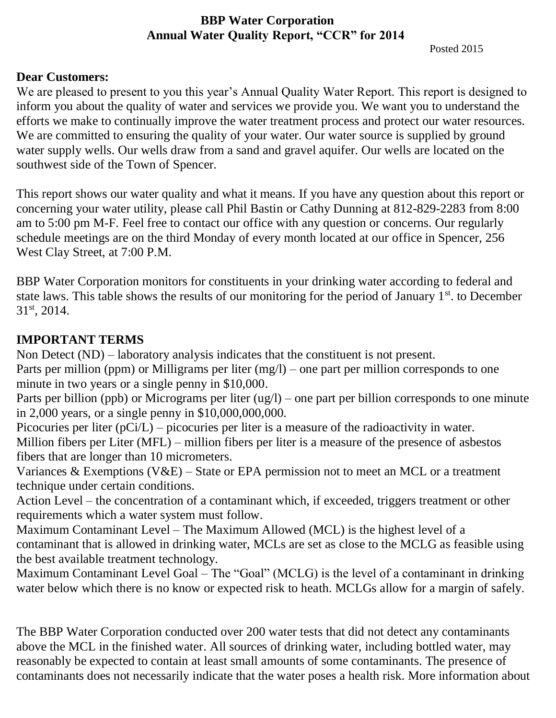### **BBP Water Corporation Annual Water Quality Report, "CCR" for 2014**

Posted 2015

#### **Dear Customers:**

We are pleased to present to you this year's Annual Quality Water Report. This report is designed to inform you about the quality of water and services we provide you. We want you to understand the efforts we make to continually improve the water treatment process and protect our water resources. We are committed to ensuring the quality of your water. Our water source is supplied by ground water supply wells. Our wells draw from a sand and gravel aquifer. Our wells are located on the southwest side of the Town of Spencer.

This report shows our water quality and what it means. If you have any question about this report or concerning your water utility, please call Phil Bastin or Cathy Dunning at 812-829-2283 from 8:00 am to 5:00 pm M-F. Feel free to contact our office with any question or concerns. Our regularly schedule meetings are on the third Monday of every month located at our office in Spencer, 256 West Clay Street, at 7:00 P.M.

BBP Water Corporation monitors for constituents in your drinking water according to federal and state laws. This table shows the results of our monitoring for the period of January 1<sup>st</sup>, to December 31st, 2014.

### **IMPORTANT TERMS**

Non Detect (ND) – laboratory analysis indicates that the constituent is not present.

Parts per million (ppm) or Milligrams per liter (mg/l) – one part per million corresponds to one minute in two years or a single penny in \$10,000.

Parts per billion (ppb) or Micrograms per liter (ug/l) – one part per billion corresponds to one minute in 2,000 years, or a single penny in \$10,000,000,000.

Picocuries per liter (pCi/L) – picocuries per liter is a measure of the radioactivity in water. Million fibers per Liter (MFL) – million fibers per liter is a measure of the presence of asbestos fibers that are longer than 10 micrometers.

Variances & Exemptions (V&E) – State or EPA permission not to meet an MCL or a treatment technique under certain conditions.

Action Level – the concentration of a contaminant which, if exceeded, triggers treatment or other requirements which a water system must follow.

Maximum Contaminant Level – The Maximum Allowed (MCL) is the highest level of a contaminant that is allowed in drinking water, MCLs are set as close to the MCLG as feasible using the best available treatment technology.

Maximum Contaminant Level Goal – The "Goal" (MCLG) is the level of a contaminant in drinking water below which there is no know or expected risk to heath. MCLGs allow for a margin of safely.

The BBP Water Corporation conducted over 200 water tests that did not detect any contaminants above the MCL in the finished water. All sources of drinking water, including bottled water, may reasonably be expected to contain at least small amounts of some contaminants. The presence of contaminants does not necessarily indicate that the water poses a health risk. More information about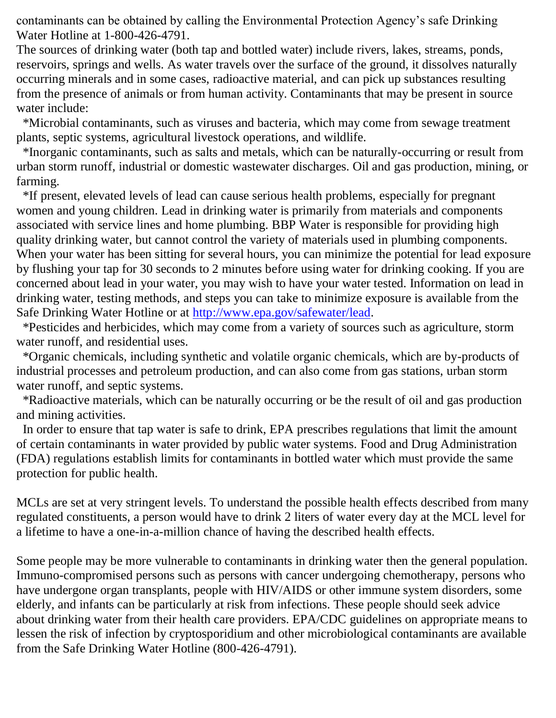contaminants can be obtained by calling the Environmental Protection Agency's safe Drinking Water Hotline at 1-800-426-4791.

The sources of drinking water (both tap and bottled water) include rivers, lakes, streams, ponds, reservoirs, springs and wells. As water travels over the surface of the ground, it dissolves naturally occurring minerals and in some cases, radioactive material, and can pick up substances resulting from the presence of animals or from human activity. Contaminants that may be present in source water include:

 \*Microbial contaminants, such as viruses and bacteria, which may come from sewage treatment plants, septic systems, agricultural livestock operations, and wildlife.

 \*Inorganic contaminants, such as salts and metals, which can be naturally-occurring or result from urban storm runoff, industrial or domestic wastewater discharges. Oil and gas production, mining, or farming.

 \*If present, elevated levels of lead can cause serious health problems, especially for pregnant women and young children. Lead in drinking water is primarily from materials and components associated with service lines and home plumbing. BBP Water is responsible for providing high quality drinking water, but cannot control the variety of materials used in plumbing components. When your water has been sitting for several hours, you can minimize the potential for lead exposure by flushing your tap for 30 seconds to 2 minutes before using water for drinking cooking. If you are concerned about lead in your water, you may wish to have your water tested. Information on lead in drinking water, testing methods, and steps you can take to minimize exposure is available from the Safe Drinking Water Hotline or at [http://www.epa.gov/safewater/lead.](http://www.epa.gov/safewater/lead)

 \*Pesticides and herbicides, which may come from a variety of sources such as agriculture, storm water runoff, and residential uses.

 \*Organic chemicals, including synthetic and volatile organic chemicals, which are by-products of industrial processes and petroleum production, and can also come from gas stations, urban storm water runoff, and septic systems.

 \*Radioactive materials, which can be naturally occurring or be the result of oil and gas production and mining activities.

 In order to ensure that tap water is safe to drink, EPA prescribes regulations that limit the amount of certain contaminants in water provided by public water systems. Food and Drug Administration (FDA) regulations establish limits for contaminants in bottled water which must provide the same protection for public health.

MCLs are set at very stringent levels. To understand the possible health effects described from many regulated constituents, a person would have to drink 2 liters of water every day at the MCL level for a lifetime to have a one-in-a-million chance of having the described health effects.

Some people may be more vulnerable to contaminants in drinking water then the general population. Immuno-compromised persons such as persons with cancer undergoing chemotherapy, persons who have undergone organ transplants, people with HIV/AIDS or other immune system disorders, some elderly, and infants can be particularly at risk from infections. These people should seek advice about drinking water from their health care providers. EPA/CDC guidelines on appropriate means to lessen the risk of infection by cryptosporidium and other microbiological contaminants are available from the Safe Drinking Water Hotline (800-426-4791).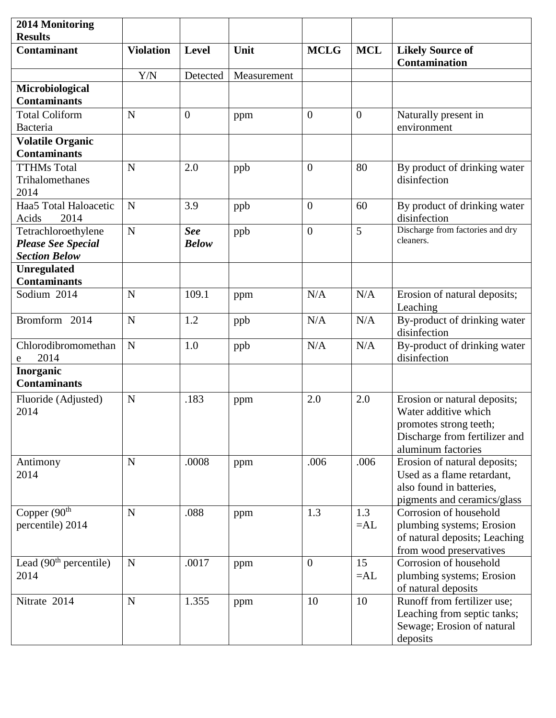| 2014 Monitoring<br><b>Results</b>                                        |                  |                            |             |                |              |                                                                                                                                       |
|--------------------------------------------------------------------------|------------------|----------------------------|-------------|----------------|--------------|---------------------------------------------------------------------------------------------------------------------------------------|
| <b>Contaminant</b>                                                       | <b>Violation</b> | Level                      | Unit        | <b>MCLG</b>    | <b>MCL</b>   | <b>Likely Source of</b><br><b>Contamination</b>                                                                                       |
|                                                                          | Y/N              | Detected                   | Measurement |                |              |                                                                                                                                       |
| Microbiological<br><b>Contaminants</b>                                   |                  |                            |             |                |              |                                                                                                                                       |
| Total Coliform<br>Bacteria                                               | $\mathbf N$      | $\overline{0}$             | ppm         | $\overline{0}$ | $\mathbf{0}$ | Naturally present in<br>environment                                                                                                   |
| <b>Volatile Organic</b><br><b>Contaminants</b>                           |                  |                            |             |                |              |                                                                                                                                       |
| <b>TTHMs Total</b><br>Trihalomethanes                                    | N                | 2.0                        | ppb         | $\theta$       | 80           | By product of drinking water<br>disinfection                                                                                          |
| 2014                                                                     |                  |                            |             |                |              |                                                                                                                                       |
| Haa5 Total Haloacetic<br>Acids<br>2014                                   | N                | 3.9                        | ppb         | $\overline{0}$ | 60           | By product of drinking water<br>disinfection                                                                                          |
| Tetrachloroethylene<br><b>Please See Special</b><br><b>Section Below</b> | $\mathbf N$      | <b>See</b><br><b>Below</b> | ppb         | $\overline{0}$ | 5            | Discharge from factories and dry<br>cleaners.                                                                                         |
| <b>Unregulated</b><br><b>Contaminants</b>                                |                  |                            |             |                |              |                                                                                                                                       |
| Sodium 2014                                                              | N                | 109.1                      | ppm         | N/A            | N/A          | Erosion of natural deposits;<br>Leaching                                                                                              |
| Bromform 2014                                                            | N                | 1.2                        | ppb         | N/A            | N/A          | By-product of drinking water<br>disinfection                                                                                          |
| Chlorodibromomethan<br>2014<br>e                                         | $\mathbf N$      | 1.0                        | ppb         | N/A            | N/A          | By-product of drinking water<br>disinfection                                                                                          |
| Inorganic<br><b>Contaminants</b>                                         |                  |                            |             |                |              |                                                                                                                                       |
| Fluoride (Adjusted)<br>2014                                              | N                | .183                       | ppm         | 2.0            | 2.0          | Erosion or natural deposits;<br>Water additive which<br>promotes strong teeth;<br>Discharge from fertilizer and<br>aluminum factories |
| Antimony<br>2014                                                         | $\mathbf N$      | .0008                      | ppm         | .006           | .006         | Erosion of natural deposits;<br>Used as a flame retardant,<br>also found in batteries,<br>pigments and ceramics/glass                 |
| Copper $(90th$<br>percentile) 2014                                       | $\mathbf N$      | .088                       | ppm         | 1.3            | 1.3<br>$=AL$ | Corrosion of household<br>plumbing systems; Erosion<br>of natural deposits; Leaching<br>from wood preservatives                       |
| Lead $(90th$ percentile)<br>2014                                         | ${\bf N}$        | .0017                      | ppm         | $\overline{0}$ | 15<br>$=AL$  | Corrosion of household<br>plumbing systems; Erosion<br>of natural deposits                                                            |
| Nitrate 2014                                                             | $\mathbf N$      | 1.355                      | ppm         | 10             | 10           | Runoff from fertilizer use;<br>Leaching from septic tanks;<br>Sewage; Erosion of natural<br>deposits                                  |